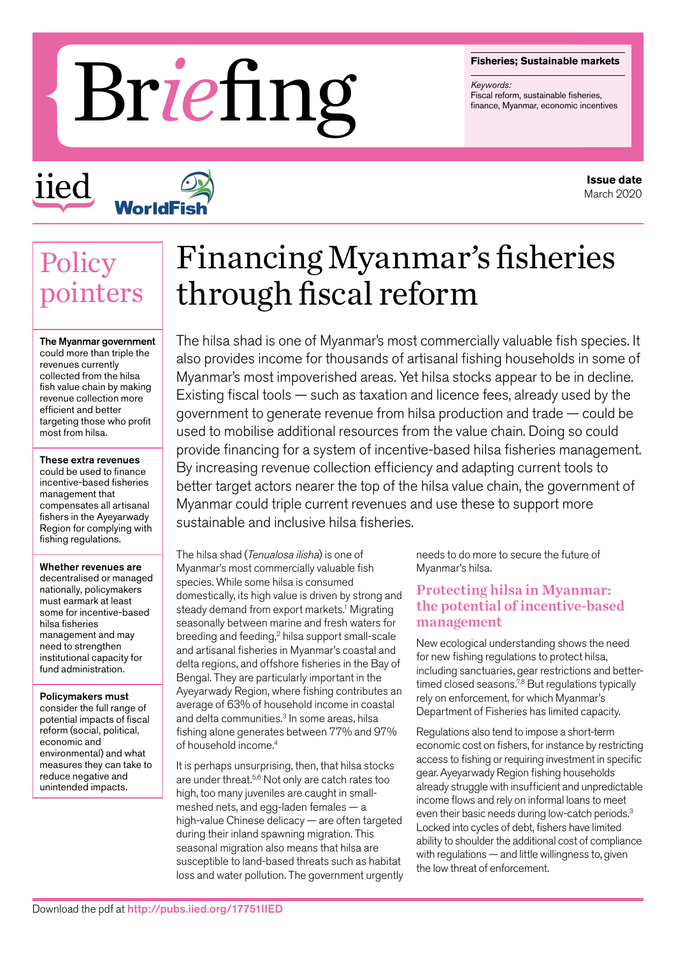#### **Fisheries; Sustainable markets**

*Keywords:*

# Fisheries; Sustainable markets<br>Fiscal reform, sustainable fisheries, Fiscal reform, sustainable fisheries, finance, Myanmar, economic incentives

iied



## **Policy** pointers

The Myanmar government could more than triple the revenues currently collected from the hilsa fish value chain by making revenue collection more efficient and better targeting those who profit most from hilsa.

These extra revenues could be used to finance incentive-based fisheries management that compensates all artisanal fishers in the Ayeyarwady Region for complying with fishing regulations.

Whether revenues are decentralised or managed nationally, policymakers must earmark at least some for incentive-based hilsa fisheries management and may need to strengthen institutional capacity for fund administration.

Policymakers must consider the full range of potential impacts of fiscal reform (social, political, economic and environmental) and what measures they can take to reduce negative and unintended impacts.

# Financing Myanmar's fisheries through fiscal reform

The hilsa shad is one of Myanmar's most commercially valuable fish species. It also provides income for thousands of artisanal fishing households in some of Myanmar's most impoverished areas. Yet hilsa stocks appear to be in decline. Existing fiscal tools — such as taxation and licence fees, already used by the government to generate revenue from hilsa production and trade — could be used to mobilise additional resources from the value chain. Doing so could provide financing for a system of incentive-based hilsa fisheries management. By increasing revenue collection efficiency and adapting current tools to better target actors nearer the top of the hilsa value chain, the government of Myanmar could triple current revenues and use these to support more sustainable and inclusive hilsa fisheries.

The hilsa shad (*Tenualosa ilisha*) is one of Myanmar's most commercially valuable fish species. While some hilsa is consumed domestically, its high value is driven by strong and steady demand from export markets.<sup>1</sup> Migrating seasonally between marine and fresh waters for breeding and feeding,2 hilsa support small-scale and artisanal fisheries in Myanmar's coastal and delta regions, and offshore fisheries in the Bay of Bengal. They are particularly important in the Ayeyarwady Region, where fishing contributes an average of 63% of household income in coastal and delta communities.<sup>3</sup> In some areas, hilsa fishing alone generates between 77% and 97% of household income.4

It is perhaps unsurprising, then, that hilsa stocks are under threat.<sup>5,6</sup> Not only are catch rates too high, too many juveniles are caught in smallmeshed nets, and egg-laden females — a high-value Chinese delicacy — are often targeted during their inland spawning migration. This seasonal migration also means that hilsa are susceptible to land-based threats such as habitat loss and water pollution. The government urgently needs to do more to secure the future of Myanmar's hilsa.

#### Protecting hilsa in Myanmar: the potential of incentive-based management

New ecological understanding shows the need for new fishing regulations to protect hilsa, including sanctuaries, gear restrictions and bettertimed closed seasons. $7,8$  But regulations typically rely on enforcement, for which Myanmar's Department of Fisheries has limited capacity.

Regulations also tend to impose a short-term economic cost on fishers, for instance by restricting access to fishing or requiring investment in specific gear. Ayeyarwady Region fishing households already struggle with insufficient and unpredictable income flows and rely on informal loans to meet even their basic needs during low-catch periods.3 Locked into cycles of debt, fishers have limited ability to shoulder the additional cost of compliance with regulations — and little willingness to, given the low threat of enforcement.

**Issue date** March 2020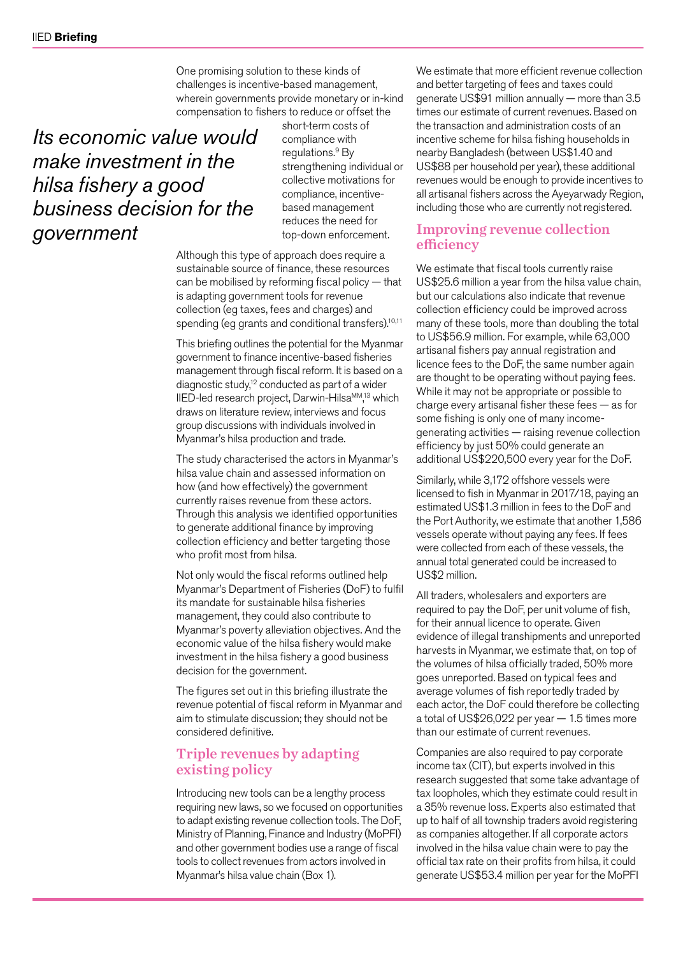One promising solution to these kinds of challenges is incentive-based management, wherein governments provide monetary or in-kind compensation to fishers to reduce or offset the

### *Its economic value would make investment in the hilsa fishery a good business decision for the government*

short-term costs of compliance with regulations.<sup>9</sup> By strengthening individual or collective motivations for compliance, incentivebased management reduces the need for top-down enforcement.

Although this type of approach does require a sustainable source of finance, these resources can be mobilised by reforming fiscal policy — that is adapting government tools for revenue collection (eg taxes, fees and charges) and spending (eg grants and conditional transfers).<sup>10,11</sup>

This briefing outlines the potential for the Myanmar government to finance incentive-based fisheries management through fiscal reform. It is based on a diagnostic study,<sup>12</sup> conducted as part of a wider IIED-led research project, Darwin-Hilsa<sup>MM</sup>,<sup>13</sup> which draws on literature review, interviews and focus group discussions with individuals involved in Myanmar's hilsa production and trade.

The study characterised the actors in Myanmar's hilsa value chain and assessed information on how (and how effectively) the government currently raises revenue from these actors. Through this analysis we identified opportunities to generate additional finance by improving collection efficiency and better targeting those who profit most from hilsa.

Not only would the fiscal reforms outlined help Myanmar's Department of Fisheries (DoF) to fulfil its mandate for sustainable hilsa fisheries management, they could also contribute to Myanmar's poverty alleviation objectives. And the economic value of the hilsa fishery would make investment in the hilsa fishery a good business decision for the government.

The figures set out in this briefing illustrate the revenue potential of fiscal reform in Myanmar and aim to stimulate discussion; they should not be considered definitive.

#### Triple revenues by adapting existing policy

Introducing new tools can be a lengthy process requiring new laws, so we focused on opportunities to adapt existing revenue collection tools. The DoF, Ministry of Planning, Finance and Industry (MoPFI) and other government bodies use a range of fiscal tools to collect revenues from actors involved in Myanmar's hilsa value chain (Box 1).

We estimate that more efficient revenue collection and better targeting of fees and taxes could generate US\$91 million annually — more than 3.5 times our estimate of current revenues. Based on the transaction and administration costs of an incentive scheme for hilsa fishing households in nearby Bangladesh (between US\$1.40 and US\$88 per household per year), these additional revenues would be enough to provide incentives to all artisanal fishers across the Ayeyarwady Region, including those who are currently not registered.

#### Improving revenue collection efficiency

We estimate that fiscal tools currently raise US\$25.6 million a year from the hilsa value chain, but our calculations also indicate that revenue collection efficiency could be improved across many of these tools, more than doubling the total to US\$56.9 million. For example, while 63,000 artisanal fishers pay annual registration and licence fees to the DoF, the same number again are thought to be operating without paying fees. While it may not be appropriate or possible to charge every artisanal fisher these fees — as for some fishing is only one of many incomegenerating activities — raising revenue collection efficiency by just 50% could generate an additional US\$220,500 every year for the DoF.

Similarly, while 3,172 offshore vessels were licensed to fish in Myanmar in 2017/18, paying an estimated US\$1.3 million in fees to the DoF and the Port Authority, we estimate that another 1,586 vessels operate without paying any fees. If fees were collected from each of these vessels, the annual total generated could be increased to US\$2 million.

All traders, wholesalers and exporters are required to pay the DoF, per unit volume of fish, for their annual licence to operate. Given evidence of illegal transhipments and unreported harvests in Myanmar, we estimate that, on top of the volumes of hilsa officially traded, 50% more goes unreported. Based on typical fees and average volumes of fish reportedly traded by each actor, the DoF could therefore be collecting a total of US\$26,022 per year — 1.5 times more than our estimate of current revenues.

Companies are also required to pay corporate income tax (CIT), but experts involved in this research suggested that some take advantage of tax loopholes, which they estimate could result in a 35% revenue loss. Experts also estimated that up to half of all township traders avoid registering as companies altogether. If all corporate actors involved in the hilsa value chain were to pay the official tax rate on their profits from hilsa, it could generate US\$53.4 million per year for the MoPFI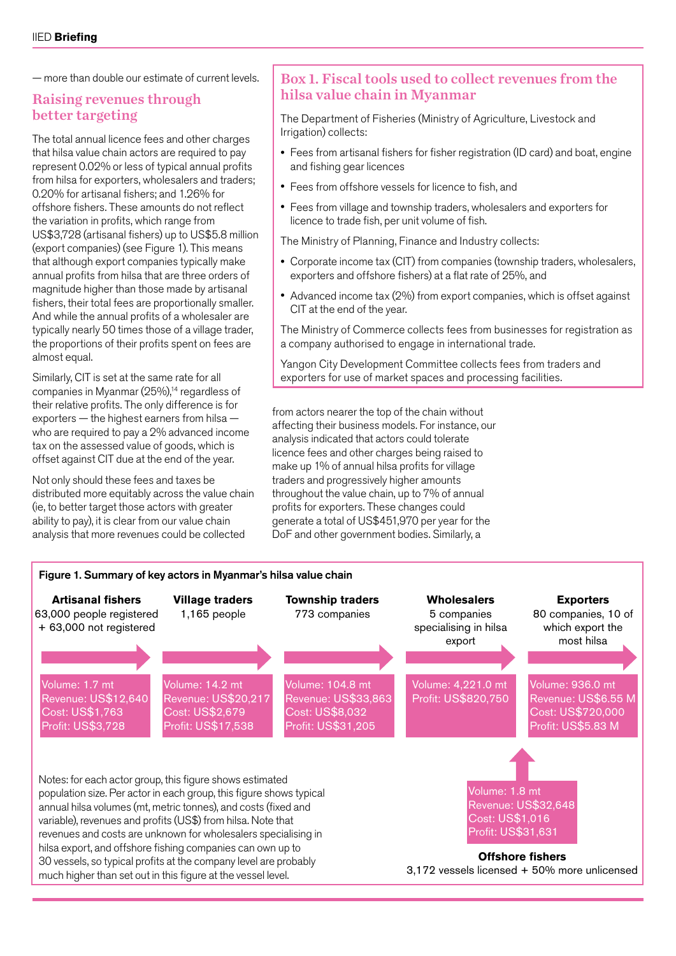— more than double our estimate of current levels.

#### Raising revenues through better targeting

The total annual licence fees and other charges that hilsa value chain actors are required to pay represent 0.02% or less of typical annual profits from hilsa for exporters, wholesalers and traders; 0.20% for artisanal fishers; and 1.26% for offshore fishers. These amounts do not reflect the variation in profits, which range from US\$3,728 (artisanal fishers) up to US\$5.8 million (export companies) (see Figure 1). This means that although export companies typically make annual profits from hilsa that are three orders of magnitude higher than those made by artisanal fishers, their total fees are proportionally smaller. And while the annual profits of a wholesaler are typically nearly 50 times those of a village trader, the proportions of their profits spent on fees are almost equal.

Similarly, CIT is set at the same rate for all companies in Myanmar  $(25\%)$ ,<sup>14</sup> regardless of their relative profits. The only difference is for exporters — the highest earners from hilsa who are required to pay a 2% advanced income tax on the assessed value of goods, which is offset against CIT due at the end of the year.

Not only should these fees and taxes be distributed more equitably across the value chain (ie, to better target those actors with greater ability to pay), it is clear from our value chain analysis that more revenues could be collected

#### Box 1. Fiscal tools used to collect revenues from the hilsa value chain in Myanmar

The Department of Fisheries (Ministry of Agriculture, Livestock and Irrigation) collects:

- Fees from artisanal fishers for fisher registration (ID card) and boat, engine and fishing gear licences
- Fees from offshore vessels for licence to fish, and
- Fees from village and township traders, wholesalers and exporters for licence to trade fish, per unit volume of fish.

The Ministry of Planning, Finance and Industry collects:

- Corporate income tax (CIT) from companies (township traders, wholesalers, exporters and offshore fishers) at a flat rate of 25%, and
- Advanced income tax (2%) from export companies, which is offset against CIT at the end of the year.

The Ministry of Commerce collects fees from businesses for registration as a company authorised to engage in international trade.

Yangon City Development Committee collects fees from traders and exporters for use of market spaces and processing facilities.

from actors nearer the top of the chain without affecting their business models. For instance, our analysis indicated that actors could tolerate licence fees and other charges being raised to make up 1% of annual hilsa profits for village traders and progressively higher amounts throughout the value chain, up to 7% of annual profits for exporters. These changes could generate a total of US\$451,970 per year for the DoF and other government bodies. Similarly, a